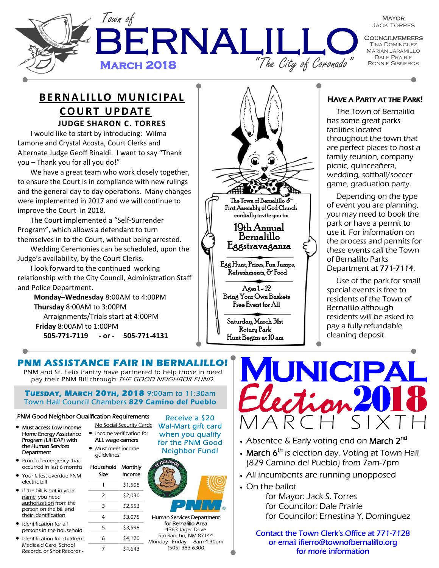

**MAYOR** Jack Torres

**COUNCILMEMBERS** Tina Dominguez Marian Jaramillo Dale Prairie

### **BERNALILLO MUNICIPAL COURT UPDATE JUDGE SHARON C. TORRES**

I would like to start by introducing: Wilma Lamone and Crystal Acosta, Court Clerks and Alternate Judge Geoff Rinaldi. I want to say "Thank you – Thank you for all you do!"

We have a great team who work closely together, to ensure the Court is in compliance with new rulings and the general day to day operations. Many changes were implemented in 2017 and we will continue to improve the Court in 2018.

The Court implemented a "Self-Surrender Program", which allows a defendant to turn themselves in to the Court, without being arrested.

Wedding Ceremonies can be scheduled, upon the Judge's availability, by the Court Clerks.

I look forward to the continued working relationship with the City Council, Administration Staff and Police Department.

 **Monday–Wednesday** 8:00AM to 4:00PM  **Thursday** 8:00AM to 3:00PM Arraignments/Trials start at 4:00PM **Friday** 8:00AM to 1:00PM **505-771-7119 - or - 505-771-4131**

## Egg Hunt, Prizes, Fun Jumps, Refreshments, & Food Ages 1 - 12 Bring Your Own Baskets Free Event for All The Town of Bernalillo  $\bar{\sigma}$ First Assembly of God Church cordially invite you to: 19th Annual Bernalillo Eggstravaganza

Saturday, March 31st Rotary Park Hunt Begins at 10 am

#### HAVE A PARTY AT THE PARK!

The Town of Bernalillo has some great parks facilities located throughout the town that are perfect places to host a family reunion, company picnic, quinceañera, wedding, softball/soccer game, graduation party.

Depending on the type of event you are planning, you may need to book the park or have a permit to use it. For information on the process and permits for these events call the Town of Bernalillo Parks Department at 771-7114.

Use of the park for small special events is free to residents of the Town of Bernalillo although residents will be asked to pay a fully refundable cleaning deposit.

## **PNM ASSISTANCE FAIR IN BERNALILLO!**

PNM and St. Felix Pantry have partnered to help those in need pay their PNM Bill through THE GOOD NEIGHBOR FUND.

**TUESDAY, MARCH 20TH, 2018** 9:00am to 11:30am Town Hall Council Chambers 829 Camino del Pueblo

#### PNM Good Neighbor Qualification Requirements

- Must access Low Income Home Energy Assistance Program (LIHEAP) with the Human Services **Department**
- Proof of emergency that occurred in last 6 months
- Your latest overdue PNM electric bill
- If the bill is not in your name, you need authorization from the person on the bill and their identification
- Identification for all persons in the household
- Identification for children: Medicaid Card, School Records, or Shot Records -
- No Social Security Cards • Income verification for
- ALL wage earners • Must meet income

guidelines:

Household Size **Monthly** Income  $1$  \$1,508  $2 \frac{\sqrt{2}}{2}$  $3 \frac{\sqrt{2}}{52,553}$  $4$  \$3,075  $5$   $\frac{1}{3.598}$  $6$   $\frac{1}{20}$ 

 $7 \frac{\sqrt{}}{4,643}$ 

Receive a \$20 Wal-Mart gift card when you qualify for the PNM Good Neighbor Fund!



Human Services Department for Bernalillo Area 4363 Jager Drive Rio Rancho, NM 87144 Monday - Friday 8am-4:30pm (505) 383-6300



- Absentee & Early voting end on March 2<sup>nd</sup>
- March  $6<sup>th</sup>$  is election day. Voting at Town Hall (829 Camino del Pueblo) from 7am-7pm
- All incumbents are running unopposed
- On the ballot

 for Mayor: Jack S. Torres for Councilor: Dale Prairie for Councilor: Ernestina Y. Dominguez

Contact the Town Clerk's Office at 771-7128 or email ifierro@townofbernalillo.org for more information